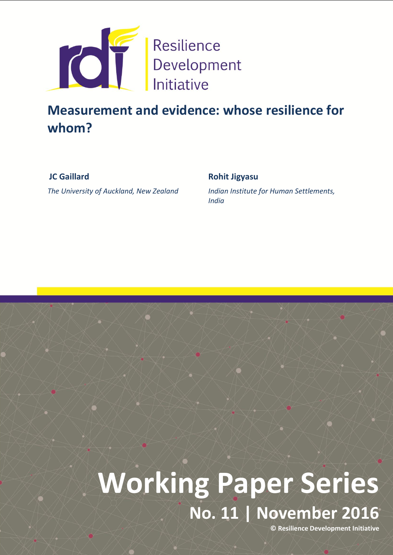

# **Measurement and evidence: whose resilience for whom?**

**JC Gaillard**

*The University of Auckland, New Zealand*

# **Rohit Jigyasu**

*Indian Institute for Human Settlements, India* 

# 1 **No. 11 | November 2016 Working Paper Series**

**© Resilience Development Initiative**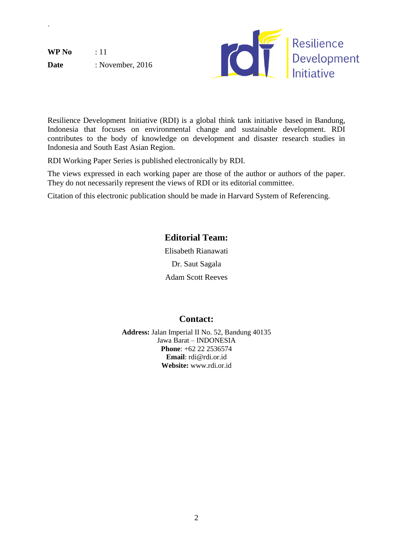**WP No** : 11 Date : November, 2016

`



Resilience Development Initiative (RDI) is a global think tank initiative based in Bandung, Indonesia that focuses on environmental change and sustainable development. RDI contributes to the body of knowledge on development and disaster research studies in Indonesia and South East Asian Region.

RDI Working Paper Series is published electronically by RDI.

The views expressed in each working paper are those of the author or authors of the paper. They do not necessarily represent the views of RDI or its editorial committee.

Citation of this electronic publication should be made in Harvard System of Referencing.

# **Editorial Team:**

Elisabeth Rianawati Dr. Saut Sagala Adam Scott Reeves

# **Contact:**

**Address:** Jalan Imperial II No. 52, Bandung 40135 Jawa Barat – INDONESIA **Phone**: +62 22 2536574 **Email**: rdi@rdi.or.id **Website:** www.rdi.or.id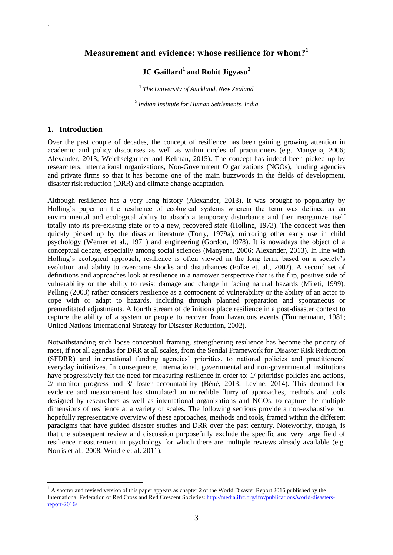### **Measurement and evidence: whose resilience for whom?<sup>1</sup>**

## **JC Gaillard<sup>1</sup> and Rohit Jigyasu<sup>2</sup>**

**1** *The University of Auckland, New Zealand*

**2** *Indian Institute for Human Settlements, India*

#### **1. Introduction**

`

**.** 

Over the past couple of decades, the concept of resilience has been gaining growing attention in academic and policy discourses as well as within circles of practitioners (e.g. Manyena, 2006; Alexander, 2013; Weichselgartner and Kelman, 2015). The concept has indeed been picked up by researchers, international organizations, Non-Government Organizations (NGOs), funding agencies and private firms so that it has become one of the main buzzwords in the fields of development, disaster risk reduction (DRR) and climate change adaptation.

Although resilience has a very long history (Alexander, 2013), it was brought to popularity by Holling"s paper on the resilience of ecological systems wherein the term was defined as an environmental and ecological ability to absorb a temporary disturbance and then reorganize itself totally into its pre-existing state or to a new, recovered state (Holling, 1973). The concept was then quickly picked up by the disaster literature (Torry, 1979a), mirroring other early use in child psychology (Werner et al., 1971) and engineering (Gordon, 1978). It is nowadays the object of a conceptual debate, especially among social sciences (Manyena, 2006; Alexander, 2013). In line with Holling"s ecological approach, resilience is often viewed in the long term, based on a society"s evolution and ability to overcome shocks and disturbances (Folke et. al., 2002). A second set of definitions and approaches look at resilience in a narrower perspective that is the flip, positive side of vulnerability or the ability to resist damage and change in facing natural hazards (Mileti, 1999). Pelling (2003) rather considers resilience as a component of vulnerability or the ability of an actor to cope with or adapt to hazards, including through planned preparation and spontaneous or premeditated adjustments. A fourth stream of definitions place resilience in a post-disaster context to capture the ability of a system or people to recover from hazardous events (Timmermann, 1981; United Nations International Strategy for Disaster Reduction, 2002).

Notwithstanding such loose conceptual framing, strengthening resilience has become the priority of most, if not all agendas for DRR at all scales, from the Sendai Framework for Disaster Risk Reduction (SFDRR) and international funding agencies' priorities, to national policies and practitioners' everyday initiatives. In consequence, international, governmental and non-governmental institutions have progressively felt the need for measuring resilience in order to: 1/ prioritise policies and actions, 2/ monitor progress and 3/ foster accountability (Béné, 2013; Levine, 2014). This demand for evidence and measurement has stimulated an incredible flurry of approaches, methods and tools designed by researchers as well as international organizations and NGOs, to capture the multiple dimensions of resilience at a variety of scales. The following sections provide a non-exhaustive but hopefully representative overview of these approaches, methods and tools, framed within the different paradigms that have guided disaster studies and DRR over the past century. Noteworthy, though, is that the subsequent review and discussion purposefully exclude the specific and very large field of resilience measurement in psychology for which there are multiple reviews already available (e.g. Norris et al., 2008; Windle et al. 2011).

 $<sup>1</sup>$  A shorter and revised version of this paper appears as chapter 2 of the World Disaster Report 2016 published by the</sup> International Federation of Red Cross and Red Crescent Societies[: http://media.ifrc.org/ifrc/publications/world-disasters](http://media.ifrc.org/ifrc/publications/world-disasters-report-2016/)[report-2016/](http://media.ifrc.org/ifrc/publications/world-disasters-report-2016/)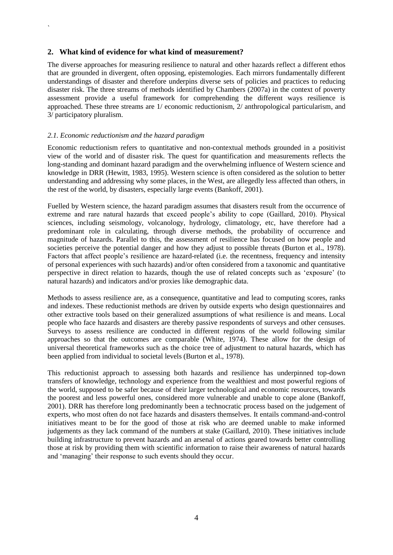#### **2. What kind of evidence for what kind of measurement?**

The diverse approaches for measuring resilience to natural and other hazards reflect a different ethos that are grounded in divergent, often opposing, epistemologies. Each mirrors fundamentally different understandings of disaster and therefore underpins diverse sets of policies and practices to reducing disaster risk. The three streams of methods identified by Chambers (2007a) in the context of poverty assessment provide a useful framework for comprehending the different ways resilience is approached. These three streams are 1/ economic reductionism, 2/ anthropological particularism, and 3/ participatory pluralism.

#### *2.1. Economic reductionism and the hazard paradigm*

`

Economic reductionism refers to quantitative and non-contextual methods grounded in a positivist view of the world and of disaster risk. The quest for quantification and measurements reflects the long-standing and dominant hazard paradigm and the overwhelming influence of Western science and knowledge in DRR (Hewitt, 1983, 1995). Western science is often considered as the solution to better understanding and addressing why some places, in the West, are allegedly less affected than others, in the rest of the world, by disasters, especially large events (Bankoff, 2001).

Fuelled by Western science, the hazard paradigm assumes that disasters result from the occurrence of extreme and rare natural hazards that exceed people"s ability to cope (Gaillard, 2010). Physical sciences, including seismology, volcanology, hydrology, climatology, etc, have therefore had a predominant role in calculating, through diverse methods, the probability of occurrence and magnitude of hazards. Parallel to this, the assessment of resilience has focused on how people and societies perceive the potential danger and how they adjust to possible threats (Burton et al., 1978). Factors that affect people's resilience are hazard-related (i.e. the recentness, frequency and intensity of personal experiences with such hazards) and/or often considered from a taxonomic and quantitative perspective in direct relation to hazards, though the use of related concepts such as "exposure" (to natural hazards) and indicators and/or proxies like demographic data.

Methods to assess resilience are, as a consequence, quantitative and lead to computing scores, ranks and indexes. These reductionist methods are driven by outside experts who design questionnaires and other extractive tools based on their generalized assumptions of what resilience is and means. Local people who face hazards and disasters are thereby passive respondents of surveys and other censuses. Surveys to assess resilience are conducted in different regions of the world following similar approaches so that the outcomes are comparable (White, 1974). These allow for the design of universal theoretical frameworks such as the choice tree of adjustment to natural hazards, which has been applied from individual to societal levels (Burton et al., 1978).

This reductionist approach to assessing both hazards and resilience has underpinned top-down transfers of knowledge, technology and experience from the wealthiest and most powerful regions of the world, supposed to be safer because of their larger technological and economic resources, towards the poorest and less powerful ones, considered more vulnerable and unable to cope alone (Bankoff, 2001). DRR has therefore long predominantly been a technocratic process based on the judgement of experts, who most often do not face hazards and disasters themselves. It entails command-and-control initiatives meant to be for the good of those at risk who are deemed unable to make informed judgements as they lack command of the numbers at stake (Gaillard, 2010). These initiatives include building infrastructure to prevent hazards and an arsenal of actions geared towards better controlling those at risk by providing them with scientific information to raise their awareness of natural hazards and "managing" their response to such events should they occur.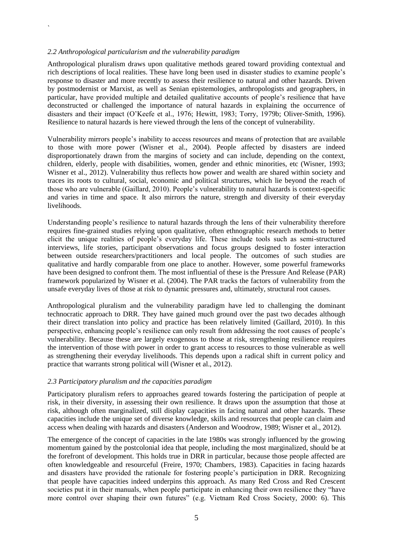#### *2.2 Anthropological particularism and the vulnerability paradigm*

`

Anthropological pluralism draws upon qualitative methods geared toward providing contextual and rich descriptions of local realities. These have long been used in disaster studies to examine people"s response to disaster and more recently to assess their resilience to natural and other hazards. Driven by postmodernist or Marxist, as well as Senian epistemologies, anthropologists and geographers, in particular, have provided multiple and detailed qualitative accounts of people"s resilience that have deconstructed or challenged the importance of natural hazards in explaining the occurrence of disasters and their impact (O"Keefe et al., 1976; Hewitt, 1983; Torry, 1979b; Oliver-Smith, 1996). Resilience to natural hazards is here viewed through the lens of the concept of vulnerability.

Vulnerability mirrors people"s inability to access resources and means of protection that are available to those with more power (Wisner et al., 2004). People affected by disasters are indeed disproportionately drawn from the margins of society and can include, depending on the context, children, elderly, people with disabilities, women, gender and ethnic minorities, etc (Wisner, 1993; Wisner et al., 2012). Vulnerability thus reflects how power and wealth are shared within society and traces its roots to cultural, social, economic and political structures, which lie beyond the reach of those who are vulnerable (Gaillard, 2010). People"s vulnerability to natural hazards is context-specific and varies in time and space. It also mirrors the nature, strength and diversity of their everyday livelihoods.

Understanding people"s resilience to natural hazards through the lens of their vulnerability therefore requires fine-grained studies relying upon qualitative, often ethnographic research methods to better elicit the unique realities of people"s everyday life. These include tools such as semi-structured interviews, life stories, participant observations and focus groups designed to foster interaction between outside researchers/practitioners and local people. The outcomes of such studies are qualitative and hardly comparable from one place to another. However, some powerful frameworks have been designed to confront them. The most influential of these is the Pressure And Release (PAR) framework popularized by Wisner et al. (2004). The PAR tracks the factors of vulnerability from the unsafe everyday lives of those at risk to dynamic pressures and, ultimately, structural root causes.

Anthropological pluralism and the vulnerability paradigm have led to challenging the dominant technocratic approach to DRR. They have gained much ground over the past two decades although their direct translation into policy and practice has been relatively limited (Gaillard, 2010). In this perspective, enhancing people"s resilience can only result from addressing the root causes of people"s vulnerability. Because these are largely exogenous to those at risk, strengthening resilience requires the intervention of those with power in order to grant access to resources to those vulnerable as well as strengthening their everyday livelihoods. This depends upon a radical shift in current policy and practice that warrants strong political will (Wisner et al., 2012).

#### *2.3 Participatory pluralism and the capacities paradigm*

Participatory pluralism refers to approaches geared towards fostering the participation of people at risk, in their diversity, in assessing their own resilience. It draws upon the assumption that those at risk, although often marginalized, still display capacities in facing natural and other hazards. These capacities include the unique set of diverse knowledge, skills and resources that people can claim and access when dealing with hazards and disasters (Anderson and Woodrow, 1989; Wisner et al., 2012).

The emergence of the concept of capacities in the late 1980s was strongly influenced by the growing momentum gained by the postcolonial idea that people, including the most marginalized, should be at the forefront of development. This holds true in DRR in particular, because those people affected are often knowledgeable and resourceful (Freire, 1970; Chambers, 1983). Capacities in facing hazards and disasters have provided the rationale for fostering people"s participation in DRR. Recognizing that people have capacities indeed underpins this approach. As many Red Cross and Red Crescent societies put it in their manuals, when people participate in enhancing their own resilience they "have more control over shaping their own futures" (e.g. Vietnam Red Cross Society, 2000: 6). This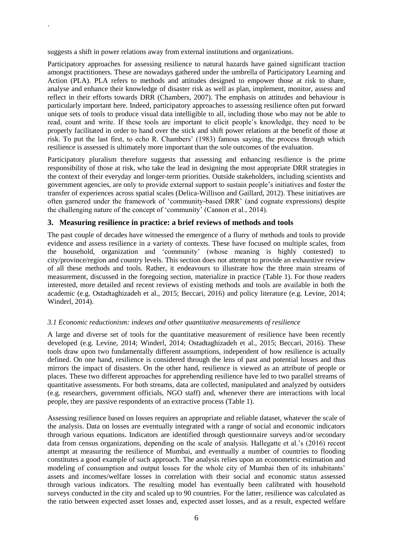suggests a shift in power relations away from external institutions and organizations.

`

Participatory approaches for assessing resilience to natural hazards have gained significant traction amongst practitioners. These are nowadays gathered under the umbrella of Participatory Learning and Action (PLA). PLA refers to methods and attitudes designed to empower those at risk to share, analyse and enhance their knowledge of disaster risk as well as plan, implement, monitor, assess and reflect in their efforts towards DRR (Chambers, 2007). The emphasis on attitudes and behaviour is particularly important here. Indeed, participatory approaches to assessing resilience often put forward unique sets of tools to produce visual data intelligible to all, including those who may not be able to read, count and write. If these tools are important to elicit people"s knowledge, they need to be properly facilitated in order to hand over the stick and shift power relations at the benefit of those at risk. To put the last first, to echo R. Chambers" (1983) famous saying, the process through which resilience is assessed is ultimately more important than the sole outcomes of the evaluation.

Participatory pluralism therefore suggests that assessing and enhancing resilience is the prime responsibility of those at risk, who take the lead in designing the most appropriate DRR strategies in the context of their everyday and longer-term priorities. Outside stakeholders, including scientists and government agencies, are only to provide external support to sustain people"s initiatives and foster the transfer of experiences across spatial scales (Delica-Willison and Gaillard, 2012). These initiatives are often garnered under the framework of "community-based DRR" (and cognate expressions) despite the challenging nature of the concept of "community" (Cannon et al., 2014).

#### **3. Measuring resilience in practice: a brief reviews of methods and tools**

The past couple of decades have witnessed the emergence of a flurry of methods and tools to provide evidence and assess resilience in a variety of contexts. These have focused on multiple scales, from the household, organization and "community" (whose meaning is highly contested) to city/province/region and country levels. This section does not attempt to provide an exhaustive review of all these methods and tools. Rather, it endeavours to illustrate how the three main streams of measurement, discussed in the foregoing section, materialize in practice (Table 1). For those readers interested, more detailed and recent reviews of existing methods and tools are available in both the academic (e.g. Ostadtaghizadeh et al., 2015; Beccari, 2016) and policy literature (e.g. Levine, 2014; Winderl, 2014).

#### *3.1 Economic reductionism: indexes and other quantitative measurements of resilience*

A large and diverse set of tools for the quantitative measurement of resilience have been recently developed (e.g. Levine, 2014; Winderl, 2014; Ostadtaghizadeh et al., 2015; Beccari, 2016). These tools draw upon two fundamentally different assumptions, independent of how resilience is actually defined. On one hand, resilience is considered through the lens of past and potential losses and thus mirrors the impact of disasters. On the other hand, resilience is viewed as an attribute of people or places. These two different approaches for apprehending resilience have led to two parallel streams of quantitative assessments. For both streams, data are collected, manipulated and analyzed by outsiders (e.g. researchers, government officials, NGO staff) and, whenever there are interactions with local people, they are passive respondents of an extractive process (Table 1).

Assessing resilience based on losses requires an appropriate and reliable dataset, whatever the scale of the analysis. Data on losses are eventually integrated with a range of social and economic indicators through various equations. Indicators are identified through questionnaire surveys and/or secondary data from census organizations, depending on the scale of analysis. Hallegatte et al.'s (2016) recent attempt at measuring the resilience of Mumbai, and eventually a number of countries to flooding constitutes a good example of such approach. The analysis relies upon an econometric estimation and modeling of consumption and output losses for the whole city of Mumbai then of its inhabitants' assets and incomes/welfare losses in correlation with their social and economic status assessed through various indicators. The resulting model has eventually been calibrated with household surveys conducted in the city and scaled up to 90 countries. For the latter, resilience was calculated as the ratio between expected asset losses and, expected asset losses, and as a result, expected welfare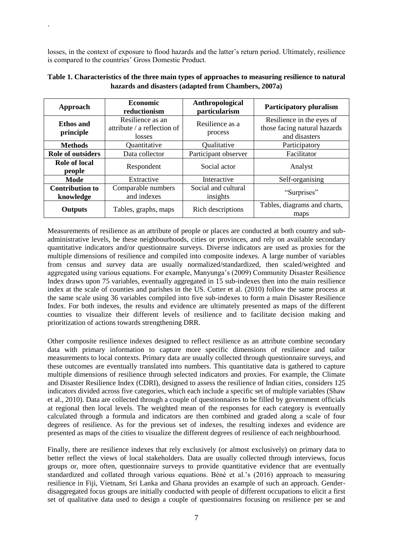losses, in the context of exposure to flood hazards and the latter's return period. Ultimately, resilience is compared to the countries' Gross Domestic Product.

`

| Approach                            | <b>Economic</b><br>reductionism                                | Anthropological<br>particularism | <b>Participatory pluralism</b>                                             |
|-------------------------------------|----------------------------------------------------------------|----------------------------------|----------------------------------------------------------------------------|
| <b>Ethos</b> and<br>principle       | Resilience as an<br>attribute $\ell$ a reflection of<br>losses | Resilience as a<br>process       | Resilience in the eyes of<br>those facing natural hazards<br>and disasters |
| <b>Methods</b>                      | Quantitative                                                   | Qualitative                      | Participatory                                                              |
| <b>Role of outsiders</b>            | Data collector                                                 | Participant observer             | Facilitator                                                                |
| <b>Role of local</b><br>people      | Respondent                                                     | Social actor                     | Analyst                                                                    |
| Mode                                | Extractive                                                     | Interactive                      | Self-organising                                                            |
| <b>Contribution to</b><br>knowledge | Comparable numbers<br>and indexes                              | Social and cultural<br>insights  | "Surprises"                                                                |
| <b>Outputs</b>                      | Tables, graphs, maps                                           | Rich descriptions                | Tables, diagrams and charts,<br>maps                                       |

**Table 1. Characteristics of the three main types of approaches to measuring resilience to natural hazards and disasters (adapted from Chambers, 2007a)**

Measurements of resilience as an attribute of people or places are conducted at both country and subadministrative levels, be these neighbourhoods, cities or provinces, and rely on available secondary quantitative indicators and/or questionnaire surveys. Diverse indicators are used as proxies for the multiple dimensions of resilience and compiled into composite indexes. A large number of variables from census and survey data are usually normalized/standardized, then scaled/weighted and aggregated using various equations. For example, Manyunga"s (2009) Community Disaster Resilience Index draws upon 75 variables, eventually aggregated in 15 sub-indexes then into the main resilience index at the scale of counties and parishes in the US. Cutter et al. (2010) follow the same process at the same scale using 36 variables compiled into five sub-indexes to form a main Disaster Resilience Index. For both indexes, the results and evidence are ultimately presented as maps of the different counties to visualize their different levels of resilience and to facilitate decision making and prioritization of actions towards strengthening DRR.

Other composite resilience indexes designed to reflect resilience as an attribute combine secondary data with primary information to capture more specific dimensions of resilience and tailor measurements to local contexts. Primary data are usually collected through questionnaire surveys, and these outcomes are eventually translated into numbers. This quantitative data is gathered to capture multiple dimensions of resilience through selected indicators and proxies. For example, the Climate and Disaster Resilience Index (CDRI), designed to assess the resilience of Indian cities, considers 125 indicators divided across five categories, which each include a specific set of multiple variables (Shaw et al., 2010). Data are collected through a couple of questionnaires to be filled by government officials at regional then local levels. The weighted mean of the responses for each category is eventually calculated through a formula and indicators are then combined and graded along a scale of four degrees of resilience. As for the previous set of indexes, the resulting indexes and evidence are presented as maps of the cities to visualize the different degrees of resilience of each neighbourhood.

Finally, there are resilience indexes that rely exclusively (or almost exclusively) on primary data to better reflect the views of local stakeholders. Data are usually collected through interviews, focus groups or, more often, questionnaire surveys to provide quantitative evidence that are eventually standardized and collated through various equations. Béné et al."s (2016) approach to measuring resilience in Fiji, Vietnam, Sri Lanka and Ghana provides an example of such an approach. Genderdisaggregated focus groups are initially conducted with people of different occupations to elicit a first set of qualitative data used to design a couple of questionnaires focusing on resilience per se and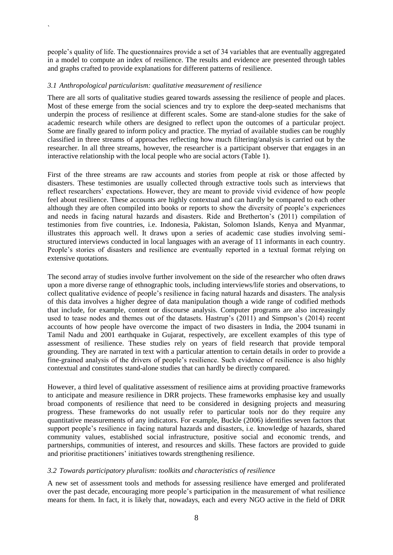people"s quality of life. The questionnaires provide a set of 34 variables that are eventually aggregated in a model to compute an index of resilience. The results and evidence are presented through tables and graphs crafted to provide explanations for different patterns of resilience.

#### *3.1 Anthropological particularism: qualitative measurement of resilience*

`

There are all sorts of qualitative studies geared towards assessing the resilience of people and places. Most of these emerge from the social sciences and try to explore the deep-seated mechanisms that underpin the process of resilience at different scales. Some are stand-alone studies for the sake of academic research while others are designed to reflect upon the outcomes of a particular project. Some are finally geared to inform policy and practice. The myriad of available studies can be roughly classified in three streams of approaches reflecting how much filtering/analysis is carried out by the researcher. In all three streams, however, the researcher is a participant observer that engages in an interactive relationship with the local people who are social actors (Table 1).

First of the three streams are raw accounts and stories from people at risk or those affected by disasters. These testimonies are usually collected through extractive tools such as interviews that reflect researchers' expectations. However, they are meant to provide vivid evidence of how people feel about resilience. These accounts are highly contextual and can hardly be compared to each other although they are often compiled into books or reports to show the diversity of people"s experiences and needs in facing natural hazards and disasters. Ride and Bretherton"s (2011) compilation of testimonies from five countries, i.e. Indonesia, Pakistan, Solomon Islands, Kenya and Myanmar, illustrates this approach well. It draws upon a series of academic case studies involving semistructured interviews conducted in local languages with an average of 11 informants in each country. People's stories of disasters and resilience are eventually reported in a textual format relying on extensive quotations.

The second array of studies involve further involvement on the side of the researcher who often draws upon a more diverse range of ethnographic tools, including interviews/life stories and observations, to collect qualitative evidence of people"s resilience in facing natural hazards and disasters. The analysis of this data involves a higher degree of data manipulation though a wide range of codified methods that include, for example, content or discourse analysis. Computer programs are also increasingly used to tease nodes and themes out of the datasets. Hastrup"s (2011) and Simpson"s (2014) recent accounts of how people have overcome the impact of two disasters in India, the 2004 tsunami in Tamil Nadu and 2001 earthquake in Gujarat, respectively, are excellent examples of this type of assessment of resilience. These studies rely on years of field research that provide temporal grounding. They are narrated in text with a particular attention to certain details in order to provide a fine-grained analysis of the drivers of people"s resilience. Such evidence of resilience is also highly contextual and constitutes stand-alone studies that can hardly be directly compared.

However, a third level of qualitative assessment of resilience aims at providing proactive frameworks to anticipate and measure resilience in DRR projects. These frameworks emphasise key and usually broad components of resilience that need to be considered in designing projects and measuring progress. These frameworks do not usually refer to particular tools nor do they require any quantitative measurements of any indicators. For example, Buckle (2006) identifies seven factors that support people"s resilience in facing natural hazards and disasters, i.e. knowledge of hazards, shared community values, established social infrastructure, positive social and economic trends, and partnerships, communities of interest, and resources and skills. These factors are provided to guide and prioritise practitioners" initiatives towards strengthening resilience.

#### *3.2 Towards participatory pluralism: toolkits and characteristics of resilience*

A new set of assessment tools and methods for assessing resilience have emerged and proliferated over the past decade, encouraging more people"s participation in the measurement of what resilience means for them. In fact, it is likely that, nowadays, each and every NGO active in the field of DRR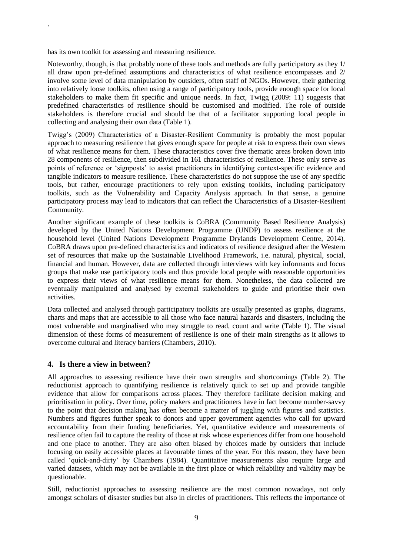has its own toolkit for assessing and measuring resilience.

`

Noteworthy, though, is that probably none of these tools and methods are fully participatory as they 1/ all draw upon pre-defined assumptions and characteristics of what resilience encompasses and 2/ involve some level of data manipulation by outsiders, often staff of NGOs. However, their gathering into relatively loose toolkits, often using a range of participatory tools, provide enough space for local stakeholders to make them fit specific and unique needs. In fact, Twigg (2009: 11) suggests that predefined characteristics of resilience should be customised and modified. The role of outside stakeholders is therefore crucial and should be that of a facilitator supporting local people in collecting and analysing their own data (Table 1).

Twigg"s (2009) Characteristics of a Disaster-Resilient Community is probably the most popular approach to measuring resilience that gives enough space for people at risk to express their own views of what resilience means for them. These characteristics cover five thematic areas broken down into 28 components of resilience, then subdivided in 161 characteristics of resilience. These only serve as points of reference or "signposts" to assist practitioners in identifying context-specific evidence and tangible indicators to measure resilience. These characteristics do not suppose the use of any specific tools, but rather, encourage practitioners to rely upon existing toolkits, including participatory toolkits, such as the Vulnerability and Capacity Analysis approach. In that sense, a genuine participatory process may lead to indicators that can reflect the Characteristics of a Disaster-Resilient Community.

Another significant example of these toolkits is CoBRA (Community Based Resilience Analysis) developed by the United Nations Development Programme (UNDP) to assess resilience at the household level (United Nations Development Programme Drylands Development Centre, 2014). CoBRA draws upon pre-defined characteristics and indicators of resilience designed after the Western set of resources that make up the Sustainable Livelihood Framework, i.e. natural, physical, social, financial and human. However, data are collected through interviews with key informants and focus groups that make use participatory tools and thus provide local people with reasonable opportunities to express their views of what resilience means for them. Nonetheless, the data collected are eventually manipulated and analysed by external stakeholders to guide and prioritise their own activities.

Data collected and analysed through participatory toolkits are usually presented as graphs, diagrams, charts and maps that are accessible to all those who face natural hazards and disasters, including the most vulnerable and marginalised who may struggle to read, count and write (Table 1). The visual dimension of these forms of measurement of resilience is one of their main strengths as it allows to overcome cultural and literacy barriers (Chambers, 2010).

#### **4. Is there a view in between?**

All approaches to assessing resilience have their own strengths and shortcomings (Table 2). The reductionist approach to quantifying resilience is relatively quick to set up and provide tangible evidence that allow for comparisons across places. They therefore facilitate decision making and prioritisation in policy. Over time, policy makers and practitioners have in fact become number-savvy to the point that decision making has often become a matter of juggling with figures and statistics. Numbers and figures further speak to donors and upper government agencies who call for upward accountability from their funding beneficiaries. Yet, quantitative evidence and measurements of resilience often fail to capture the reality of those at risk whose experiences differ from one household and one place to another. They are also often biased by choices made by outsiders that include focusing on easily accessible places at favourable times of the year. For this reason, they have been called "quick-and-dirty" by Chambers (1984). Quantitative measurements also require large and varied datasets, which may not be available in the first place or which reliability and validity may be questionable.

Still, reductionist approaches to assessing resilience are the most common nowadays, not only amongst scholars of disaster studies but also in circles of practitioners. This reflects the importance of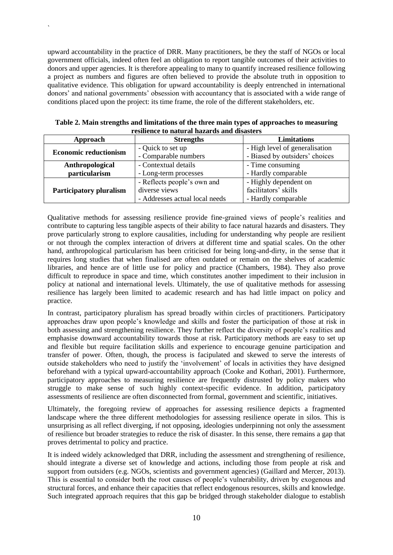upward accountability in the practice of DRR. Many practitioners, be they the staff of NGOs or local government officials, indeed often feel an obligation to report tangible outcomes of their activities to donors and upper agencies. It is therefore appealing to many to quantify increased resilience following a project as numbers and figures are often believed to provide the absolute truth in opposition to qualitative evidence. This obligation for upward accountability is deeply entrenched in international donors' and national governments' obsession with accountancy that is associated with a wide range of conditions placed upon the project: its time frame, the role of the different stakeholders, etc.

`

| resincnee to natural mazaras anu ususters |                                |                                |  |  |
|-------------------------------------------|--------------------------------|--------------------------------|--|--|
| Approach                                  | <b>Strengths</b>               | <b>Limitations</b>             |  |  |
| <b>Economic reductionism</b>              | - Quick to set up              | - High level of generalisation |  |  |
|                                           | - Comparable numbers           | - Biased by outsiders' choices |  |  |
| Anthropological                           | - Contextual details           | - Time consuming               |  |  |
| particularism                             | - Long-term processes          | - Hardly comparable            |  |  |
|                                           | - Reflects people's own and    | - Highly dependent on          |  |  |
| <b>Participatory pluralism</b>            | diverse views                  | facilitators' skills           |  |  |
|                                           | - Addresses actual local needs | - Hardly comparable            |  |  |

**Table 2. Main strengths and limitations of the three main types of approaches to measuring resilience to natural hazards and disasters**

Qualitative methods for assessing resilience provide fine-grained views of people"s realities and contribute to capturing less tangible aspects of their ability to face natural hazards and disasters. They prove particularly strong to explore causalities, including for understanding why people are resilient or not through the complex interaction of drivers at different time and spatial scales. On the other hand, anthropological particularism has been criticised for being long-and-dirty, in the sense that it requires long studies that when finalised are often outdated or remain on the shelves of academic libraries, and hence are of little use for policy and practice (Chambers, 1984). They also prove difficult to reproduce in space and time, which constitutes another impediment to their inclusion in policy at national and international levels. Ultimately, the use of qualitative methods for assessing resilience has largely been limited to academic research and has had little impact on policy and practice.

In contrast, participatory pluralism has spread broadly within circles of practitioners. Participatory approaches draw upon people"s knowledge and skills and foster the participation of those at risk in both assessing and strengthening resilience. They further reflect the diversity of people"s realities and emphasise downward accountability towards those at risk. Participatory methods are easy to set up and flexible but require facilitation skills and experience to encourage genuine participation and transfer of power. Often, though, the process is facipulated and skewed to serve the interests of outside stakeholders who need to justify the "involvement" of locals in activities they have designed beforehand with a typical upward-accountability approach (Cooke and Kothari, 2001). Furthermore, participatory approaches to measuring resilience are frequently distrusted by policy makers who struggle to make sense of such highly context-specific evidence. In addition, participatory assessments of resilience are often disconnected from formal, government and scientific, initiatives.

Ultimately, the foregoing review of approaches for assessing resilience depicts a fragmented landscape where the three different methodologies for assessing resilience operate in silos. This is unsurprising as all reflect diverging, if not opposing, ideologies underpinning not only the assessment of resilience but broader strategies to reduce the risk of disaster. In this sense, there remains a gap that proves detrimental to policy and practice.

It is indeed widely acknowledged that DRR, including the assessment and strengthening of resilience, should integrate a diverse set of knowledge and actions, including those from people at risk and support from outsiders (e.g. NGOs, scientists and government agencies) (Gaillard and Mercer, 2013). This is essential to consider both the root causes of people"s vulnerability, driven by exogenous and structural forces, and enhance their capacities that reflect endogenous resources, skills and knowledge. Such integrated approach requires that this gap be bridged through stakeholder dialogue to establish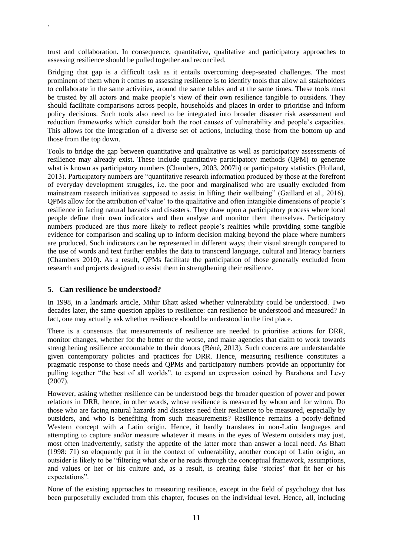trust and collaboration. In consequence, quantitative, qualitative and participatory approaches to assessing resilience should be pulled together and reconciled.

Bridging that gap is a difficult task as it entails overcoming deep-seated challenges. The most prominent of them when it comes to assessing resilience is to identify tools that allow all stakeholders to collaborate in the same activities, around the same tables and at the same times. These tools must be trusted by all actors and make people"s view of their own resilience tangible to outsiders. They should facilitate comparisons across people, households and places in order to prioritise and inform policy decisions. Such tools also need to be integrated into broader disaster risk assessment and reduction frameworks which consider both the root causes of vulnerability and people"s capacities. This allows for the integration of a diverse set of actions, including those from the bottom up and those from the top down.

Tools to bridge the gap between quantitative and qualitative as well as participatory assessments of resilience may already exist. These include quantitative participatory methods (QPM) to generate what is known as participatory numbers (Chambers, 2003, 2007b) or participatory statistics (Holland, 2013). Participatory numbers are "quantitative research information produced by those at the forefront of everyday development struggles, i.e. the poor and marginalised who are usually excluded from mainstream research initiatives supposed to assist in lifting their wellbeing" (Gaillard et al., 2016). QPMs allow for the attribution of"value" to the qualitative and often intangible dimensions of people"s resilience in facing natural hazards and disasters. They draw upon a participatory process where local people define their own indicators and then analyse and monitor them themselves. Participatory numbers produced are thus more likely to reflect people's realities while providing some tangible evidence for comparison and scaling up to inform decision making beyond the place where numbers are produced. Such indicators can be represented in different ways; their visual strength compared to the use of words and text further enables the data to transcend language, cultural and literacy barriers (Chambers 2010). As a result, QPMs facilitate the participation of those generally excluded from research and projects designed to assist them in strengthening their resilience.

#### **5. Can resilience be understood?**

`

In 1998, in a landmark article, Mihir Bhatt asked whether vulnerability could be understood. Two decades later, the same question applies to resilience: can resilience be understood and measured? In fact, one may actually ask whether resilience should be understood in the first place.

There is a consensus that measurements of resilience are needed to prioritise actions for DRR, monitor changes, whether for the better or the worse, and make agencies that claim to work towards strengthening resilience accountable to their donors (Béné, 2013). Such concerns are understandable given contemporary policies and practices for DRR. Hence, measuring resilience constitutes a pragmatic response to those needs and QPMs and participatory numbers provide an opportunity for pulling together "the best of all worlds", to expand an expression coined by Barahona and Levy (2007).

However, asking whether resilience can be understood begs the broader question of power and power relations in DRR, hence, in other words, whose resilience is measured by whom and for whom. Do those who are facing natural hazards and disasters need their resilience to be measured, especially by outsiders, and who is benefiting from such measurements? Resilience remains a poorly-defined Western concept with a Latin origin. Hence, it hardly translates in non-Latin languages and attempting to capture and/or measure whatever it means in the eyes of Western outsiders may just, most often inadvertently, satisfy the appetite of the latter more than answer a local need. As Bhatt (1998: 71) so eloquently put it in the context of vulnerability, another concept of Latin origin, an outsider is likely to be "filtering what she or he reads through the conceptual framework, assumptions, and values or her or his culture and, as a result, is creating false "stories" that fit her or his expectations".

None of the existing approaches to measuring resilience, except in the field of psychology that has been purposefully excluded from this chapter, focuses on the individual level. Hence, all, including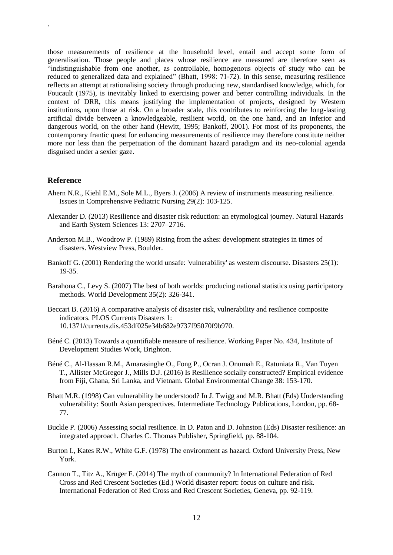those measurements of resilience at the household level, entail and accept some form of generalisation. Those people and places whose resilience are measured are therefore seen as "indistinguishable from one another, as controllable, homogenous objects of study who can be reduced to generalized data and explained" (Bhatt, 1998: 71-72). In this sense, measuring resilience reflects an attempt at rationalising society through producing new, standardised knowledge, which, for Foucault (1975), is inevitably linked to exercising power and better controlling individuals. In the context of DRR, this means justifying the implementation of projects, designed by Western institutions, upon those at risk. On a broader scale, this contributes to reinforcing the long-lasting artificial divide between a knowledgeable, resilient world, on the one hand, and an inferior and dangerous world, on the other hand (Hewitt, 1995; Bankoff, 2001). For most of its proponents, the contemporary frantic quest for enhancing measurements of resilience may therefore constitute neither more nor less than the perpetuation of the dominant hazard paradigm and its neo-colonial agenda disguised under a sexier gaze.

#### **Reference**

`

- Ahern N.R., Kiehl E.M., Sole M.L., Byers J. (2006) A review of instruments measuring resilience. Issues in Comprehensive Pediatric Nursing 29(2): 103-125.
- Alexander D. (2013) Resilience and disaster risk reduction: an etymological journey. Natural Hazards and Earth System Sciences 13: 2707–2716.
- Anderson M.B., Woodrow P. (1989) Rising from the ashes: development strategies in times of disasters. Westview Press, Boulder.
- Bankoff G. (2001) Rendering the world unsafe: 'vulnerability' as western discourse. Disasters 25(1): 19-35.
- Barahona C., Levy S. (2007) The best of both worlds: producing national statistics using participatory methods. World Development 35(2): 326-341.
- Beccari B. (2016) A comparative analysis of disaster risk, vulnerability and resilience composite indicators. PLOS Currents Disasters 1: 10.1371/currents.dis.453df025e34b682e9737f95070f9b970.
- Béné C. (2013) Towards a quantifiable measure of resilience. Working Paper No. 434, Institute of Development Studies Work, Brighton.
- Béné C., Al-Hassan R.M., Amarasinghe O., Fong P., Ocran J. Onumah E., Ratuniata R., Van Tuyen T., Allister McGregor J., Mills D.J. (2016) Is Resilience socially constructed? Empirical evidence from Fiji, Ghana, Sri Lanka, and Vietnam. Global Environmental Change 38: 153-170.
- Bhatt M.R. (1998) Can vulnerability be understood? In J. Twigg and M.R. Bhatt (Eds) Understanding vulnerability: South Asian perspectives. Intermediate Technology Publications, London, pp. 68- 77.
- Buckle P. (2006) Assessing social resilience. In D. Paton and D. Johnston (Eds) Disaster resilience: an integrated approach. Charles C. Thomas Publisher, Springfield, pp. 88-104.
- Burton I., Kates R.W., White G.F. (1978) The environment as hazard. Oxford University Press, New York.
- Cannon T., Titz A., Krüger F. (2014) The myth of community? In International Federation of Red Cross and Red Crescent Societies (Ed.) World disaster report: focus on culture and risk. International Federation of Red Cross and Red Crescent Societies, Geneva, pp. 92-119.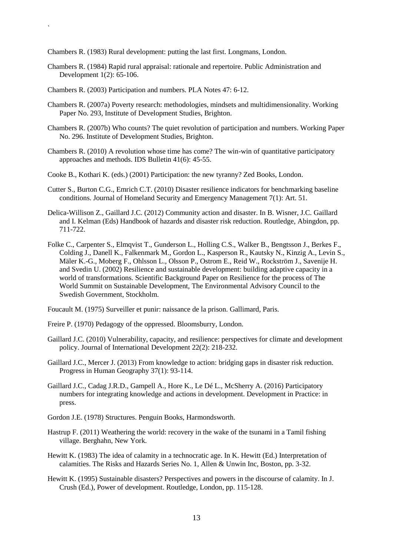Chambers R. (1983) Rural development: putting the last first. Longmans, London.

- Chambers R. (1984) Rapid rural appraisal: rationale and repertoire. Public Administration and Development 1(2): 65-106.
- Chambers R. (2003) Participation and numbers. PLA Notes 47: 6-12.

`

- Chambers R. (2007a) Poverty research: methodologies, mindsets and multidimensionality. Working Paper No. 293, Institute of Development Studies, Brighton.
- Chambers R. (2007b) Who counts? The quiet revolution of participation and numbers. Working Paper No. 296. Institute of Development Studies, Brighton.
- Chambers R. (2010) A revolution whose time has come? The win-win of quantitative participatory approaches and methods. IDS Bulletin 41(6): 45-55.
- Cooke B., Kothari K. (eds.) (2001) Participation: the new tyranny? Zed Books, London.
- Cutter S., Burton C.G., Emrich C.T. (2010) Disaster resilience indicators for benchmarking baseline conditions. Journal of Homeland Security and Emergency Management 7(1): Art. 51.
- Delica-Willison Z., Gaillard J.C. (2012) Community action and disaster. In B. Wisner, J.C. Gaillard and I. Kelman (Eds) Handbook of hazards and disaster risk reduction. Routledge, Abingdon, pp. 711-722.
- Folke C., Carpenter S., Elmqvist T., Gunderson L., Holling C.S., Walker B., Bengtsson J., Berkes F., Colding J., Danell K., Falkenmark M., Gordon L., Kasperson R., Kautsky N., Kinzig A., Levin S., Mäler K.-G., Moberg F., Ohlsson L., Olsson P., Ostrom E., Reid W., Rockström J., Savenije H. and Svedin U. (2002) Resilience and sustainable development: building adaptive capacity in a world of transformations. Scientific Background Paper on Resilience for the process of The World Summit on Sustainable Development, The Environmental Advisory Council to the Swedish Government, Stockholm.

Foucault M. (1975) Surveiller et punir: naissance de la prison. Gallimard, Paris.

- Freire P. (1970) Pedagogy of the oppressed. Bloomsburry, London.
- Gaillard J.C. (2010) Vulnerability, capacity, and resilience: perspectives for climate and development policy. Journal of International Development 22(2): 218-232.
- Gaillard J.C., Mercer J. (2013) From knowledge to action: bridging gaps in disaster risk reduction. Progress in Human Geography 37(1): 93-114.
- Gaillard J.C., Cadag J.R.D., Gampell A., Hore K., Le Dé L., McSherry A. (2016) Participatory numbers for integrating knowledge and actions in development. Development in Practice: in press.
- Gordon J.E. (1978) Structures. Penguin Books, Harmondsworth.
- Hastrup F. (2011) Weathering the world: recovery in the wake of the tsunami in a Tamil fishing village. Berghahn, New York.
- Hewitt K. (1983) The idea of calamity in a technocratic age. In K. Hewitt (Ed.) Interpretation of calamities. The Risks and Hazards Series No. 1, Allen & Unwin Inc, Boston, pp. 3-32.
- Hewitt K. (1995) Sustainable disasters? Perspectives and powers in the discourse of calamity. In J. Crush (Ed.), Power of development. Routledge, London, pp. 115-128.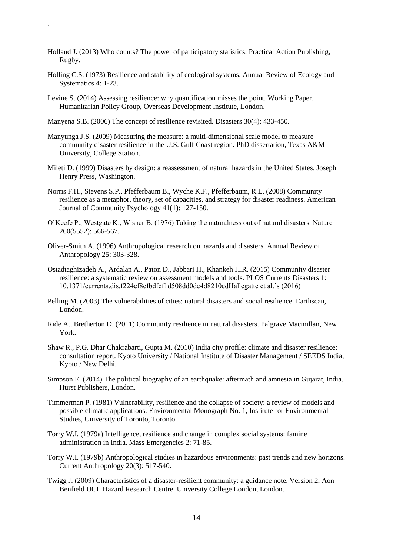- Holland J. (2013) Who counts? The power of participatory statistics. Practical Action Publishing, Rugby.
- Holling C.S. (1973) Resilience and stability of ecological systems. Annual Review of Ecology and Systematics 4: 1-23.
- Levine S. (2014) Assessing resilience: why quantification misses the point. Working Paper, Humanitarian Policy Group, Overseas Development Institute, London.
- Manyena S.B. (2006) The concept of resilience revisited. Disasters 30(4): 433-450.

`

- Manyunga J.S. (2009) Measuring the measure: a multi-dimensional scale model to measure community disaster resilience in the U.S. Gulf Coast region. PhD dissertation, Texas A&M University, College Station.
- Mileti D. (1999) Disasters by design: a reassessment of natural hazards in the United States. Joseph Henry Press, Washington.
- Norris F.H., Stevens S.P., Pfefferbaum B., Wyche K.F., Pfefferbaum, R.L. (2008) Community resilience as a metaphor, theory, set of capacities, and strategy for disaster readiness. American Journal of Community Psychology 41(1): 127-150.
- O"Keefe P., Westgate K., Wisner B. (1976) Taking the naturalness out of natural disasters. Nature 260(5552): 566-567.
- Oliver-Smith A. (1996) Anthropological research on hazards and disasters. Annual Review of Anthropology 25: 303-328.
- Ostadtaghizadeh A., Ardalan A., Paton D., Jabbari H., Khankeh H.R. (2015) Community disaster resilience: a systematic review on assessment models and tools. PLOS Currents Disasters 1: 10.1371/currents.dis.f224ef8efbdfcf1d508dd0de4d8210edHallegatte et al."s (2016)
- Pelling M. (2003) The vulnerabilities of cities: natural disasters and social resilience. Earthscan, London.
- Ride A., Bretherton D. (2011) Community resilience in natural disasters. Palgrave Macmillan, New York.
- Shaw R., P.G. Dhar Chakrabarti, Gupta M. (2010) India city profile: climate and disaster resilience: consultation report. Kyoto University / National Institute of Disaster Management / SEEDS India, Kyoto / New Delhi.
- Simpson E. (2014) The political biography of an earthquake: aftermath and amnesia in Gujarat, India. Hurst Publishers, London.
- Timmerman P. (1981) Vulnerability, resilience and the collapse of society: a review of models and possible climatic applications. Environmental Monograph No. 1, Institute for Environmental Studies, University of Toronto, Toronto.
- Torry W.I. (1979a) Intelligence, resilience and change in complex social systems: famine administration in India. Mass Emergencies 2: 71-85.
- Torry W.I. (1979b) Anthropological studies in hazardous environments: past trends and new horizons. Current Anthropology 20(3): 517-540.
- Twigg J. (2009) Characteristics of a disaster-resilient community: a guidance note. Version 2, Aon Benfield UCL Hazard Research Centre, University College London, London.